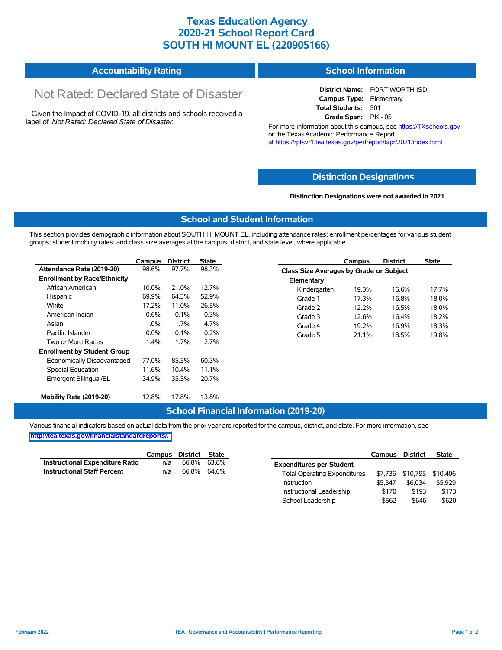## **Texas Education Agency 2020-21 School Report Card SOUTH HI MOUNT EL (220905166)**

#### **Accountability Rating School Information**

# Not Rated: Declared State of Disaster

Given the Impact of COVID-19, all districts and schools received a label of *Not Rated: Declared State of Disaster.*

**District Name:** FORT WORTH ISD **Campus Type:** Elementary **Total Students:** 501 **Grade Span:** PK - 05

For more information about this campus, see https://TXschools.gov or the Texas Academic Performance Report at https://rptsvr1.tea.texas.gov/perfreport/tapr/2021/index.html

### **Distinction Designat[ions](https://TXschools.gov)**

**Distinction Designations were not awarded in 2021.**

School Leadership  $$562$  \$646 \$620

#### **School and Student Information**

This section provides demographic information about SOUTH HI MOUNT EL, including attendance rates; enrollment percentages for various student groups; student mobility rates; and class size averages at the campus, district, and state level, where applicable.

|                                     | Campus  | <b>District</b> | <b>State</b> |              | Campus                                  | <b>District</b> | <b>State</b> |  |  |  |
|-------------------------------------|---------|-----------------|--------------|--------------|-----------------------------------------|-----------------|--------------|--|--|--|
| Attendance Rate (2019-20)           | 98.6%   | 97.7%           | 98.3%        |              | Class Size Averages by Grade or Subject |                 |              |  |  |  |
| <b>Enrollment by Race/Ethnicity</b> |         |                 |              | Elementary   |                                         |                 |              |  |  |  |
| African American                    | 10.0%   | 21.0%           | 12.7%        | Kindergarten | 19.3%                                   | 16.6%           | 17.7%        |  |  |  |
| Hispanic                            | 69.9%   | 64.3%           | 52.9%        | Grade 1      | 17.3%                                   | 16.8%           | 18.0%        |  |  |  |
| White                               | 17.2%   | 11.0%           | 26.5%        | Grade 2      | 12.2%                                   | 16.5%           | 18.0%        |  |  |  |
| American Indian                     | 0.6%    | 0.1%            | 0.3%         | Grade 3      | 12.6%                                   | 16.4%           | 18.2%        |  |  |  |
| Asian                               | 1.0%    | 1.7%            | 4.7%         | Grade 4      | 19.2%                                   | 16.9%           | 18.3%        |  |  |  |
| Pacific Islander                    | $0.0\%$ | 0.1%            | 0.2%         | Grade 5      | 21.1%                                   | 18.5%           | 19.8%        |  |  |  |
| Two or More Races                   | 1.4%    | 1.7%            | 2.7%         |              |                                         |                 |              |  |  |  |
| <b>Enrollment by Student Group</b>  |         |                 |              |              |                                         |                 |              |  |  |  |
| Economically Disadvantaged          | 77.0%   | 85.5%           | 60.3%        |              |                                         |                 |              |  |  |  |
| Special Education                   | 11.6%   | 10.4%           | 11.1%        |              |                                         |                 |              |  |  |  |
| Emergent Bilingual/EL               | 34.9%   | 35.5%           | 20.7%        |              |                                         |                 |              |  |  |  |
|                                     |         |                 |              |              |                                         |                 |              |  |  |  |
| Mobility Rate (2019-20)             | 12.8%   | 17.8%           | 13.8%        |              |                                         |                 |              |  |  |  |

### **School Financial Information (2019-20)**

Various financial indicators based on actual data from the prior year are reported for the campus, district, and state. For more information, see

**[http://tea.texas.gov/financialstandardreports/.](http://tea.texas.gov/financialstandardreports/)**

|                                        | Campus | District State |             |                                     | Campus  | <b>District</b>           | <b>State</b> |
|----------------------------------------|--------|----------------|-------------|-------------------------------------|---------|---------------------------|--------------|
| <b>Instructional Expenditure Ratio</b> | n/a    | 66.8%          | 63.8%       | <b>Expenditures per Student</b>     |         |                           |              |
| <b>Instructional Staff Percent</b>     | n/a    |                | 66.8% 64.6% | <b>Total Operating Expenditures</b> |         | \$7,736 \$10,795 \$10,406 |              |
|                                        |        |                |             | Instruction                         | \$5.347 | \$6.034                   | \$5,929      |
|                                        |        |                |             | Instructional Leadership            | \$170   | \$193                     | \$173        |